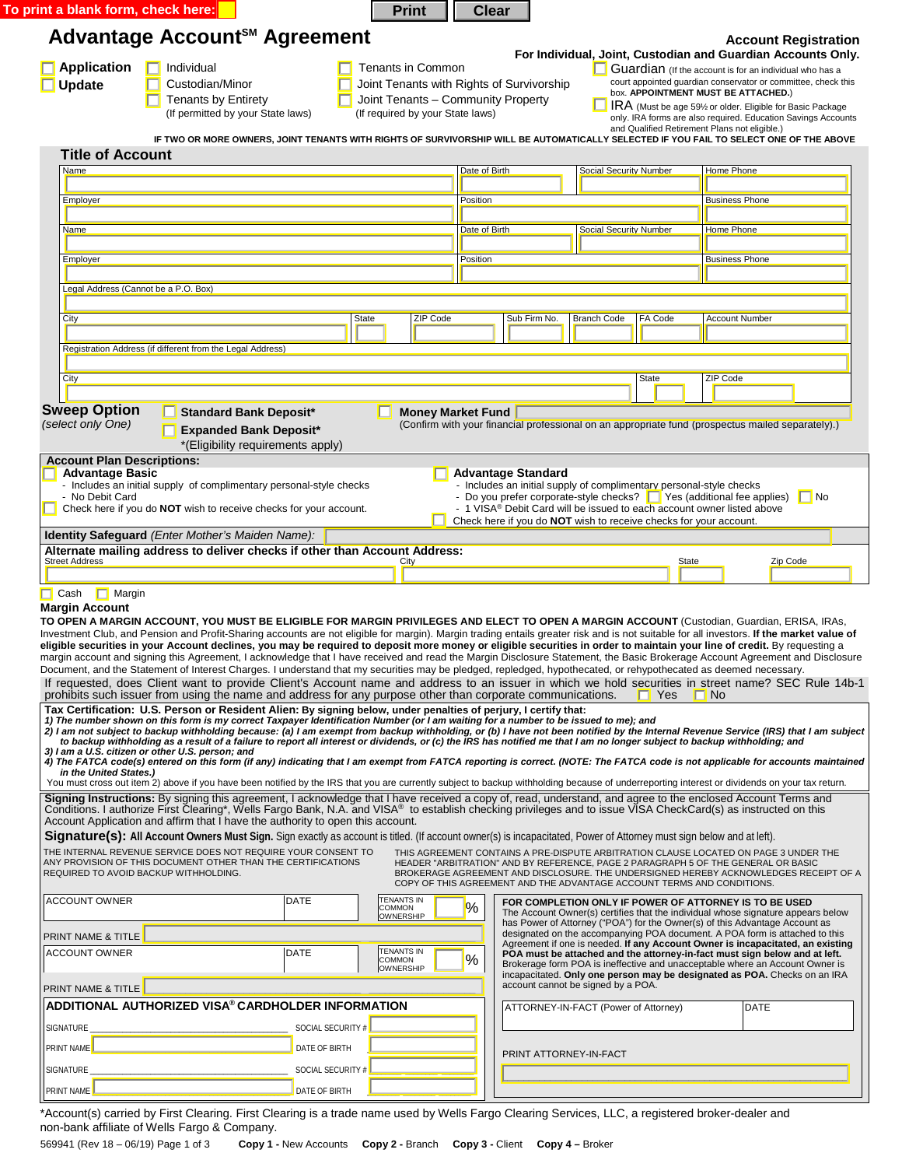| To print a blank form, check here:                                                                                                                                                                                                                                                                                                                                                                                                                                                                                                                                                                                                                                                                                                                                                                                                                                                                                                                                                                                                                                                                                                                                                                                                                                                                                                                                                                                                                                                                                                                                                                                                                                                                                                                                                                                                                                                                                                                                                                                                                                                                                                                                                                                                                                                                                                                                                                                        |                                  |                                                                                                                                        |      |                   | <b>Print</b>                                                                    | <b>Clear</b>                                                                                                                                                              |              |                                      |                    |                               |         |                                                                                    |                                                                                                                                                               |                             |           |
|---------------------------------------------------------------------------------------------------------------------------------------------------------------------------------------------------------------------------------------------------------------------------------------------------------------------------------------------------------------------------------------------------------------------------------------------------------------------------------------------------------------------------------------------------------------------------------------------------------------------------------------------------------------------------------------------------------------------------------------------------------------------------------------------------------------------------------------------------------------------------------------------------------------------------------------------------------------------------------------------------------------------------------------------------------------------------------------------------------------------------------------------------------------------------------------------------------------------------------------------------------------------------------------------------------------------------------------------------------------------------------------------------------------------------------------------------------------------------------------------------------------------------------------------------------------------------------------------------------------------------------------------------------------------------------------------------------------------------------------------------------------------------------------------------------------------------------------------------------------------------------------------------------------------------------------------------------------------------------------------------------------------------------------------------------------------------------------------------------------------------------------------------------------------------------------------------------------------------------------------------------------------------------------------------------------------------------------------------------------------------------------------------------------------------|----------------------------------|----------------------------------------------------------------------------------------------------------------------------------------|------|-------------------|---------------------------------------------------------------------------------|---------------------------------------------------------------------------------------------------------------------------------------------------------------------------|--------------|--------------------------------------|--------------------|-------------------------------|---------|------------------------------------------------------------------------------------|---------------------------------------------------------------------------------------------------------------------------------------------------------------|-----------------------------|-----------|
| Advantage Account <sup>SM</sup> Agreement                                                                                                                                                                                                                                                                                                                                                                                                                                                                                                                                                                                                                                                                                                                                                                                                                                                                                                                                                                                                                                                                                                                                                                                                                                                                                                                                                                                                                                                                                                                                                                                                                                                                                                                                                                                                                                                                                                                                                                                                                                                                                                                                                                                                                                                                                                                                                                                 |                                  |                                                                                                                                        |      |                   |                                                                                 |                                                                                                                                                                           |              |                                      |                    |                               |         |                                                                                    |                                                                                                                                                               | <b>Account Registration</b> |           |
|                                                                                                                                                                                                                                                                                                                                                                                                                                                                                                                                                                                                                                                                                                                                                                                                                                                                                                                                                                                                                                                                                                                                                                                                                                                                                                                                                                                                                                                                                                                                                                                                                                                                                                                                                                                                                                                                                                                                                                                                                                                                                                                                                                                                                                                                                                                                                                                                                           |                                  |                                                                                                                                        |      |                   |                                                                                 |                                                                                                                                                                           |              |                                      |                    |                               |         |                                                                                    | For Individual, Joint, Custodian and Guardian Accounts Only.                                                                                                  |                             |           |
| <b>Application</b>                                                                                                                                                                                                                                                                                                                                                                                                                                                                                                                                                                                                                                                                                                                                                                                                                                                                                                                                                                                                                                                                                                                                                                                                                                                                                                                                                                                                                                                                                                                                                                                                                                                                                                                                                                                                                                                                                                                                                                                                                                                                                                                                                                                                                                                                                                                                                                                                        | $\boxed{\phantom{a}}$ Individual |                                                                                                                                        |      |                   | Tenants in Common                                                               |                                                                                                                                                                           |              |                                      |                    |                               |         |                                                                                    | Guardian (If the account is for an individual who has a<br>court appointed guardian conservator or committee, check this                                      |                             |           |
| <b>Update</b>                                                                                                                                                                                                                                                                                                                                                                                                                                                                                                                                                                                                                                                                                                                                                                                                                                                                                                                                                                                                                                                                                                                                                                                                                                                                                                                                                                                                                                                                                                                                                                                                                                                                                                                                                                                                                                                                                                                                                                                                                                                                                                                                                                                                                                                                                                                                                                                                             |                                  | Custodian/Minor<br><b>Tenants by Entirety</b>                                                                                          |      |                   | Joint Tenants with Rights of Survivorship<br>Joint Tenants - Community Property |                                                                                                                                                                           |              |                                      |                    |                               |         |                                                                                    | box. APPOINTMENT MUST BE ATTACHED.)                                                                                                                           |                             |           |
|                                                                                                                                                                                                                                                                                                                                                                                                                                                                                                                                                                                                                                                                                                                                                                                                                                                                                                                                                                                                                                                                                                                                                                                                                                                                                                                                                                                                                                                                                                                                                                                                                                                                                                                                                                                                                                                                                                                                                                                                                                                                                                                                                                                                                                                                                                                                                                                                                           |                                  | (If permitted by your State laws)                                                                                                      |      |                   | (If required by your State laws)                                                |                                                                                                                                                                           |              |                                      |                    |                               |         |                                                                                    | IRA (Must be age 59% or older. Eligible for Basic Package<br>only. IRA forms are also required. Education Savings Accounts                                    |                             |           |
|                                                                                                                                                                                                                                                                                                                                                                                                                                                                                                                                                                                                                                                                                                                                                                                                                                                                                                                                                                                                                                                                                                                                                                                                                                                                                                                                                                                                                                                                                                                                                                                                                                                                                                                                                                                                                                                                                                                                                                                                                                                                                                                                                                                                                                                                                                                                                                                                                           |                                  |                                                                                                                                        |      |                   |                                                                                 |                                                                                                                                                                           |              |                                      |                    |                               |         |                                                                                    | and Qualified Retirement Plans not eligible.)                                                                                                                 |                             |           |
| <b>Title of Account</b>                                                                                                                                                                                                                                                                                                                                                                                                                                                                                                                                                                                                                                                                                                                                                                                                                                                                                                                                                                                                                                                                                                                                                                                                                                                                                                                                                                                                                                                                                                                                                                                                                                                                                                                                                                                                                                                                                                                                                                                                                                                                                                                                                                                                                                                                                                                                                                                                   |                                  | IF TWO OR MORE OWNERS, JOINT TENANTS WITH RIGHTS OF SURVIVORSHIP WILL BE AUTOMATICALLY SELECTED IF YOU FAIL TO SELECT ONE OF THE ABOVE |      |                   |                                                                                 |                                                                                                                                                                           |              |                                      |                    |                               |         |                                                                                    |                                                                                                                                                               |                             |           |
| Name                                                                                                                                                                                                                                                                                                                                                                                                                                                                                                                                                                                                                                                                                                                                                                                                                                                                                                                                                                                                                                                                                                                                                                                                                                                                                                                                                                                                                                                                                                                                                                                                                                                                                                                                                                                                                                                                                                                                                                                                                                                                                                                                                                                                                                                                                                                                                                                                                      |                                  |                                                                                                                                        |      |                   |                                                                                 | Date of Birth                                                                                                                                                             |              |                                      |                    | <b>Social Security Number</b> |         |                                                                                    | Home Phone                                                                                                                                                    |                             |           |
|                                                                                                                                                                                                                                                                                                                                                                                                                                                                                                                                                                                                                                                                                                                                                                                                                                                                                                                                                                                                                                                                                                                                                                                                                                                                                                                                                                                                                                                                                                                                                                                                                                                                                                                                                                                                                                                                                                                                                                                                                                                                                                                                                                                                                                                                                                                                                                                                                           |                                  |                                                                                                                                        |      |                   |                                                                                 |                                                                                                                                                                           |              |                                      |                    |                               |         |                                                                                    |                                                                                                                                                               |                             |           |
| Employer                                                                                                                                                                                                                                                                                                                                                                                                                                                                                                                                                                                                                                                                                                                                                                                                                                                                                                                                                                                                                                                                                                                                                                                                                                                                                                                                                                                                                                                                                                                                                                                                                                                                                                                                                                                                                                                                                                                                                                                                                                                                                                                                                                                                                                                                                                                                                                                                                  |                                  |                                                                                                                                        |      |                   |                                                                                 | Position                                                                                                                                                                  |              |                                      |                    |                               |         |                                                                                    | <b>Business Phone</b>                                                                                                                                         |                             |           |
| <u>Name</u>                                                                                                                                                                                                                                                                                                                                                                                                                                                                                                                                                                                                                                                                                                                                                                                                                                                                                                                                                                                                                                                                                                                                                                                                                                                                                                                                                                                                                                                                                                                                                                                                                                                                                                                                                                                                                                                                                                                                                                                                                                                                                                                                                                                                                                                                                                                                                                                                               |                                  |                                                                                                                                        |      |                   |                                                                                 | Date of Birth                                                                                                                                                             |              |                                      |                    | <b>Social Security Number</b> |         |                                                                                    | Home Phone                                                                                                                                                    |                             |           |
|                                                                                                                                                                                                                                                                                                                                                                                                                                                                                                                                                                                                                                                                                                                                                                                                                                                                                                                                                                                                                                                                                                                                                                                                                                                                                                                                                                                                                                                                                                                                                                                                                                                                                                                                                                                                                                                                                                                                                                                                                                                                                                                                                                                                                                                                                                                                                                                                                           |                                  |                                                                                                                                        |      |                   |                                                                                 |                                                                                                                                                                           |              |                                      |                    |                               |         |                                                                                    |                                                                                                                                                               |                             |           |
| Employer                                                                                                                                                                                                                                                                                                                                                                                                                                                                                                                                                                                                                                                                                                                                                                                                                                                                                                                                                                                                                                                                                                                                                                                                                                                                                                                                                                                                                                                                                                                                                                                                                                                                                                                                                                                                                                                                                                                                                                                                                                                                                                                                                                                                                                                                                                                                                                                                                  |                                  |                                                                                                                                        |      |                   |                                                                                 | Position                                                                                                                                                                  |              |                                      |                    |                               |         |                                                                                    | <b>Business Phone</b>                                                                                                                                         |                             |           |
| Legal Address (Cannot be a P.O. Box)                                                                                                                                                                                                                                                                                                                                                                                                                                                                                                                                                                                                                                                                                                                                                                                                                                                                                                                                                                                                                                                                                                                                                                                                                                                                                                                                                                                                                                                                                                                                                                                                                                                                                                                                                                                                                                                                                                                                                                                                                                                                                                                                                                                                                                                                                                                                                                                      |                                  |                                                                                                                                        |      |                   |                                                                                 |                                                                                                                                                                           |              |                                      |                    |                               |         |                                                                                    |                                                                                                                                                               |                             |           |
|                                                                                                                                                                                                                                                                                                                                                                                                                                                                                                                                                                                                                                                                                                                                                                                                                                                                                                                                                                                                                                                                                                                                                                                                                                                                                                                                                                                                                                                                                                                                                                                                                                                                                                                                                                                                                                                                                                                                                                                                                                                                                                                                                                                                                                                                                                                                                                                                                           |                                  |                                                                                                                                        |      |                   |                                                                                 |                                                                                                                                                                           |              |                                      |                    |                               |         |                                                                                    |                                                                                                                                                               |                             |           |
| <b>City</b>                                                                                                                                                                                                                                                                                                                                                                                                                                                                                                                                                                                                                                                                                                                                                                                                                                                                                                                                                                                                                                                                                                                                                                                                                                                                                                                                                                                                                                                                                                                                                                                                                                                                                                                                                                                                                                                                                                                                                                                                                                                                                                                                                                                                                                                                                                                                                                                                               |                                  |                                                                                                                                        |      | <b>State</b>      | ZIP Code                                                                        |                                                                                                                                                                           | Sub Firm No. |                                      | <b>Branch Code</b> |                               | FA Code |                                                                                    | <b>Account Number</b>                                                                                                                                         |                             |           |
|                                                                                                                                                                                                                                                                                                                                                                                                                                                                                                                                                                                                                                                                                                                                                                                                                                                                                                                                                                                                                                                                                                                                                                                                                                                                                                                                                                                                                                                                                                                                                                                                                                                                                                                                                                                                                                                                                                                                                                                                                                                                                                                                                                                                                                                                                                                                                                                                                           |                                  |                                                                                                                                        |      |                   |                                                                                 |                                                                                                                                                                           |              |                                      |                    |                               |         |                                                                                    |                                                                                                                                                               |                             |           |
| Registration Address (if different from the Legal Address)                                                                                                                                                                                                                                                                                                                                                                                                                                                                                                                                                                                                                                                                                                                                                                                                                                                                                                                                                                                                                                                                                                                                                                                                                                                                                                                                                                                                                                                                                                                                                                                                                                                                                                                                                                                                                                                                                                                                                                                                                                                                                                                                                                                                                                                                                                                                                                |                                  |                                                                                                                                        |      |                   |                                                                                 |                                                                                                                                                                           |              |                                      |                    |                               |         |                                                                                    |                                                                                                                                                               |                             |           |
| City                                                                                                                                                                                                                                                                                                                                                                                                                                                                                                                                                                                                                                                                                                                                                                                                                                                                                                                                                                                                                                                                                                                                                                                                                                                                                                                                                                                                                                                                                                                                                                                                                                                                                                                                                                                                                                                                                                                                                                                                                                                                                                                                                                                                                                                                                                                                                                                                                      |                                  |                                                                                                                                        |      |                   |                                                                                 |                                                                                                                                                                           |              |                                      |                    |                               | State   |                                                                                    | ZIP Code                                                                                                                                                      |                             |           |
|                                                                                                                                                                                                                                                                                                                                                                                                                                                                                                                                                                                                                                                                                                                                                                                                                                                                                                                                                                                                                                                                                                                                                                                                                                                                                                                                                                                                                                                                                                                                                                                                                                                                                                                                                                                                                                                                                                                                                                                                                                                                                                                                                                                                                                                                                                                                                                                                                           |                                  |                                                                                                                                        |      |                   |                                                                                 |                                                                                                                                                                           |              |                                      |                    |                               |         |                                                                                    |                                                                                                                                                               |                             |           |
| <b>Sweep Option</b>                                                                                                                                                                                                                                                                                                                                                                                                                                                                                                                                                                                                                                                                                                                                                                                                                                                                                                                                                                                                                                                                                                                                                                                                                                                                                                                                                                                                                                                                                                                                                                                                                                                                                                                                                                                                                                                                                                                                                                                                                                                                                                                                                                                                                                                                                                                                                                                                       |                                  | <b>Standard Bank Deposit*</b>                                                                                                          |      |                   |                                                                                 | <b>Money Market Fund</b>                                                                                                                                                  |              |                                      |                    |                               |         |                                                                                    |                                                                                                                                                               |                             |           |
| (select only One)                                                                                                                                                                                                                                                                                                                                                                                                                                                                                                                                                                                                                                                                                                                                                                                                                                                                                                                                                                                                                                                                                                                                                                                                                                                                                                                                                                                                                                                                                                                                                                                                                                                                                                                                                                                                                                                                                                                                                                                                                                                                                                                                                                                                                                                                                                                                                                                                         |                                  | <b>Expanded Bank Deposit*</b>                                                                                                          |      |                   |                                                                                 | (Confirm with your financial professional on an appropriate fund (prospectus mailed separately).)                                                                         |              |                                      |                    |                               |         |                                                                                    |                                                                                                                                                               |                             |           |
|                                                                                                                                                                                                                                                                                                                                                                                                                                                                                                                                                                                                                                                                                                                                                                                                                                                                                                                                                                                                                                                                                                                                                                                                                                                                                                                                                                                                                                                                                                                                                                                                                                                                                                                                                                                                                                                                                                                                                                                                                                                                                                                                                                                                                                                                                                                                                                                                                           |                                  | *(Eligibility requirements apply)                                                                                                      |      |                   |                                                                                 |                                                                                                                                                                           |              |                                      |                    |                               |         |                                                                                    |                                                                                                                                                               |                             |           |
| <b>Account Plan Descriptions:</b>                                                                                                                                                                                                                                                                                                                                                                                                                                                                                                                                                                                                                                                                                                                                                                                                                                                                                                                                                                                                                                                                                                                                                                                                                                                                                                                                                                                                                                                                                                                                                                                                                                                                                                                                                                                                                                                                                                                                                                                                                                                                                                                                                                                                                                                                                                                                                                                         |                                  |                                                                                                                                        |      |                   |                                                                                 |                                                                                                                                                                           |              |                                      |                    |                               |         |                                                                                    |                                                                                                                                                               |                             |           |
| <b>Advantage Basic</b><br>- Includes an initial supply of complimentary personal-style checks                                                                                                                                                                                                                                                                                                                                                                                                                                                                                                                                                                                                                                                                                                                                                                                                                                                                                                                                                                                                                                                                                                                                                                                                                                                                                                                                                                                                                                                                                                                                                                                                                                                                                                                                                                                                                                                                                                                                                                                                                                                                                                                                                                                                                                                                                                                             |                                  |                                                                                                                                        |      |                   |                                                                                 | <b>Advantage Standard</b><br>- Includes an initial supply of complimentary personal-style checks                                                                          |              |                                      |                    |                               |         |                                                                                    |                                                                                                                                                               |                             |           |
| - No Debit Card                                                                                                                                                                                                                                                                                                                                                                                                                                                                                                                                                                                                                                                                                                                                                                                                                                                                                                                                                                                                                                                                                                                                                                                                                                                                                                                                                                                                                                                                                                                                                                                                                                                                                                                                                                                                                                                                                                                                                                                                                                                                                                                                                                                                                                                                                                                                                                                                           |                                  |                                                                                                                                        |      |                   |                                                                                 | - Do you prefer corporate-style checks? $\Box$ Yes (additional fee applies)                                                                                               |              |                                      |                    |                               |         |                                                                                    |                                                                                                                                                               |                             | $\Box$ No |
|                                                                                                                                                                                                                                                                                                                                                                                                                                                                                                                                                                                                                                                                                                                                                                                                                                                                                                                                                                                                                                                                                                                                                                                                                                                                                                                                                                                                                                                                                                                                                                                                                                                                                                                                                                                                                                                                                                                                                                                                                                                                                                                                                                                                                                                                                                                                                                                                                           |                                  |                                                                                                                                        |      |                   |                                                                                 |                                                                                                                                                                           |              |                                      |                    |                               |         |                                                                                    |                                                                                                                                                               |                             |           |
|                                                                                                                                                                                                                                                                                                                                                                                                                                                                                                                                                                                                                                                                                                                                                                                                                                                                                                                                                                                                                                                                                                                                                                                                                                                                                                                                                                                                                                                                                                                                                                                                                                                                                                                                                                                                                                                                                                                                                                                                                                                                                                                                                                                                                                                                                                                                                                                                                           |                                  | Check here if you do <b>NOT</b> wish to receive checks for your account.                                                               |      |                   |                                                                                 |                                                                                                                                                                           |              |                                      |                    |                               |         | - 1 VISA <sup>®</sup> Debit Card will be issued to each account owner listed above |                                                                                                                                                               |                             |           |
|                                                                                                                                                                                                                                                                                                                                                                                                                                                                                                                                                                                                                                                                                                                                                                                                                                                                                                                                                                                                                                                                                                                                                                                                                                                                                                                                                                                                                                                                                                                                                                                                                                                                                                                                                                                                                                                                                                                                                                                                                                                                                                                                                                                                                                                                                                                                                                                                                           |                                  |                                                                                                                                        |      |                   |                                                                                 | Check here if you do <b>NOT</b> wish to receive checks for your account.                                                                                                  |              |                                      |                    |                               |         |                                                                                    |                                                                                                                                                               |                             |           |
|                                                                                                                                                                                                                                                                                                                                                                                                                                                                                                                                                                                                                                                                                                                                                                                                                                                                                                                                                                                                                                                                                                                                                                                                                                                                                                                                                                                                                                                                                                                                                                                                                                                                                                                                                                                                                                                                                                                                                                                                                                                                                                                                                                                                                                                                                                                                                                                                                           |                                  |                                                                                                                                        |      |                   |                                                                                 |                                                                                                                                                                           |              |                                      |                    |                               |         |                                                                                    |                                                                                                                                                               |                             |           |
| <b>Street Address</b>                                                                                                                                                                                                                                                                                                                                                                                                                                                                                                                                                                                                                                                                                                                                                                                                                                                                                                                                                                                                                                                                                                                                                                                                                                                                                                                                                                                                                                                                                                                                                                                                                                                                                                                                                                                                                                                                                                                                                                                                                                                                                                                                                                                                                                                                                                                                                                                                     |                                  |                                                                                                                                        |      |                   | City                                                                            |                                                                                                                                                                           |              |                                      |                    |                               |         | <b>State</b>                                                                       |                                                                                                                                                               | Zip Code                    |           |
| $\Box$ Margin                                                                                                                                                                                                                                                                                                                                                                                                                                                                                                                                                                                                                                                                                                                                                                                                                                                                                                                                                                                                                                                                                                                                                                                                                                                                                                                                                                                                                                                                                                                                                                                                                                                                                                                                                                                                                                                                                                                                                                                                                                                                                                                                                                                                                                                                                                                                                                                                             |                                  |                                                                                                                                        |      |                   |                                                                                 |                                                                                                                                                                           |              |                                      |                    |                               |         |                                                                                    |                                                                                                                                                               |                             |           |
|                                                                                                                                                                                                                                                                                                                                                                                                                                                                                                                                                                                                                                                                                                                                                                                                                                                                                                                                                                                                                                                                                                                                                                                                                                                                                                                                                                                                                                                                                                                                                                                                                                                                                                                                                                                                                                                                                                                                                                                                                                                                                                                                                                                                                                                                                                                                                                                                                           |                                  |                                                                                                                                        |      |                   |                                                                                 |                                                                                                                                                                           |              |                                      |                    |                               |         |                                                                                    |                                                                                                                                                               |                             |           |
|                                                                                                                                                                                                                                                                                                                                                                                                                                                                                                                                                                                                                                                                                                                                                                                                                                                                                                                                                                                                                                                                                                                                                                                                                                                                                                                                                                                                                                                                                                                                                                                                                                                                                                                                                                                                                                                                                                                                                                                                                                                                                                                                                                                                                                                                                                                                                                                                                           |                                  |                                                                                                                                        |      |                   |                                                                                 |                                                                                                                                                                           |              |                                      |                    |                               |         |                                                                                    |                                                                                                                                                               |                             |           |
|                                                                                                                                                                                                                                                                                                                                                                                                                                                                                                                                                                                                                                                                                                                                                                                                                                                                                                                                                                                                                                                                                                                                                                                                                                                                                                                                                                                                                                                                                                                                                                                                                                                                                                                                                                                                                                                                                                                                                                                                                                                                                                                                                                                                                                                                                                                                                                                                                           |                                  |                                                                                                                                        |      |                   |                                                                                 |                                                                                                                                                                           |              |                                      |                    |                               |         |                                                                                    |                                                                                                                                                               |                             |           |
|                                                                                                                                                                                                                                                                                                                                                                                                                                                                                                                                                                                                                                                                                                                                                                                                                                                                                                                                                                                                                                                                                                                                                                                                                                                                                                                                                                                                                                                                                                                                                                                                                                                                                                                                                                                                                                                                                                                                                                                                                                                                                                                                                                                                                                                                                                                                                                                                                           |                                  |                                                                                                                                        |      |                   |                                                                                 |                                                                                                                                                                           |              |                                      |                    |                               | I Yes   | ∣ No                                                                               |                                                                                                                                                               |                             |           |
|                                                                                                                                                                                                                                                                                                                                                                                                                                                                                                                                                                                                                                                                                                                                                                                                                                                                                                                                                                                                                                                                                                                                                                                                                                                                                                                                                                                                                                                                                                                                                                                                                                                                                                                                                                                                                                                                                                                                                                                                                                                                                                                                                                                                                                                                                                                                                                                                                           |                                  |                                                                                                                                        |      |                   |                                                                                 |                                                                                                                                                                           |              |                                      |                    |                               |         |                                                                                    |                                                                                                                                                               |                             |           |
|                                                                                                                                                                                                                                                                                                                                                                                                                                                                                                                                                                                                                                                                                                                                                                                                                                                                                                                                                                                                                                                                                                                                                                                                                                                                                                                                                                                                                                                                                                                                                                                                                                                                                                                                                                                                                                                                                                                                                                                                                                                                                                                                                                                                                                                                                                                                                                                                                           |                                  |                                                                                                                                        |      |                   |                                                                                 |                                                                                                                                                                           |              |                                      |                    |                               |         |                                                                                    |                                                                                                                                                               |                             |           |
| to backup withholding as a result of a failure to report all interest or dividends, or (c) the IRS has notified me that I am no longer subject to backup withholding; and                                                                                                                                                                                                                                                                                                                                                                                                                                                                                                                                                                                                                                                                                                                                                                                                                                                                                                                                                                                                                                                                                                                                                                                                                                                                                                                                                                                                                                                                                                                                                                                                                                                                                                                                                                                                                                                                                                                                                                                                                                                                                                                                                                                                                                                 |                                  |                                                                                                                                        |      |                   |                                                                                 |                                                                                                                                                                           |              |                                      |                    |                               |         |                                                                                    |                                                                                                                                                               |                             |           |
| 4) The FATCA code(s) entered on this form (if any) indicating that I am exempt from FATCA reporting is correct. (NOTE: The FATCA code is not applicable for accounts maintained<br>in the United States.)                                                                                                                                                                                                                                                                                                                                                                                                                                                                                                                                                                                                                                                                                                                                                                                                                                                                                                                                                                                                                                                                                                                                                                                                                                                                                                                                                                                                                                                                                                                                                                                                                                                                                                                                                                                                                                                                                                                                                                                                                                                                                                                                                                                                                 |                                  |                                                                                                                                        |      |                   |                                                                                 |                                                                                                                                                                           |              |                                      |                    |                               |         |                                                                                    |                                                                                                                                                               |                             |           |
| You must cross out item 2) above if you have been notified by the IRS that you are currently subject to backup withholding because of underreporting interest or dividends on your tax return.                                                                                                                                                                                                                                                                                                                                                                                                                                                                                                                                                                                                                                                                                                                                                                                                                                                                                                                                                                                                                                                                                                                                                                                                                                                                                                                                                                                                                                                                                                                                                                                                                                                                                                                                                                                                                                                                                                                                                                                                                                                                                                                                                                                                                            |                                  |                                                                                                                                        |      |                   |                                                                                 |                                                                                                                                                                           |              |                                      |                    |                               |         |                                                                                    |                                                                                                                                                               |                             |           |
|                                                                                                                                                                                                                                                                                                                                                                                                                                                                                                                                                                                                                                                                                                                                                                                                                                                                                                                                                                                                                                                                                                                                                                                                                                                                                                                                                                                                                                                                                                                                                                                                                                                                                                                                                                                                                                                                                                                                                                                                                                                                                                                                                                                                                                                                                                                                                                                                                           |                                  |                                                                                                                                        |      |                   |                                                                                 |                                                                                                                                                                           |              |                                      |                    |                               |         |                                                                                    |                                                                                                                                                               |                             |           |
|                                                                                                                                                                                                                                                                                                                                                                                                                                                                                                                                                                                                                                                                                                                                                                                                                                                                                                                                                                                                                                                                                                                                                                                                                                                                                                                                                                                                                                                                                                                                                                                                                                                                                                                                                                                                                                                                                                                                                                                                                                                                                                                                                                                                                                                                                                                                                                                                                           |                                  |                                                                                                                                        |      |                   |                                                                                 |                                                                                                                                                                           |              |                                      |                    |                               |         |                                                                                    |                                                                                                                                                               |                             |           |
| Identity Safeguard (Enter Mother's Maiden Name):<br>Alternate mailing address to deliver checks if other than Account Address:<br>$\Box$ Cash<br><b>Margin Account</b><br>TO OPEN A MARGIN ACCOUNT, YOU MUST BE ELIGIBLE FOR MARGIN PRIVILEGES AND ELECT TO OPEN A MARGIN ACCOUNT (Custodian, Guardian, ERISA, IRAs,<br>Investment Club, and Pension and Profit-Sharing accounts are not eligible for margin). Margin trading entails greater risk and is not suitable for all investors. If the market value of<br>eligible securities in your Account declines, you may be required to deposit more money or eligible securities in order to maintain your line of credit. By requesting a<br>margin account and signing this Agreement, I acknowledge that I have received and read the Margin Disclosure Statement, the Basic Brokerage Account Agreement and Disclosure<br>Document, and the Statement of Interest Charges. I understand that my securities may be pledged, repledged, hypothecated, or rehypothecated as deemed necessary.<br>If requested, does Client want to provide Client's Account name and address to an issuer in which we hold securities in street name? SEC Rule 14b-1<br>prohibits such issuer from using the name and address for any purpose other than corporate communications.<br>Tax Certification: U.S. Person or Resident Alien: By signing below, under penalties of perjury, I certify that:<br>1) The number shown on this form is my correct Taxpayer Identification Number (or I am waiting for a number to be issued to me); and<br>2) I am not subject to backup withholding because: (a) I am exempt from backup withholding, or (b) I have not been notified by the Internal Revenue Service (IRS) that I am subject<br>3) I am a U.S. citizen or other U.S. person; and<br>Signing Instructions: By signing this agreement, I acknowledge that I have received a copy of, read, understand, and agree to the enclosed Account Terms and<br>Conditions. I authorize First Clearing*, Wells Fargo Bank, N.A. and VISA® to establish checking privileges and to issue VISA CheckCard(s) as instructed on this<br>Account Application and affirm that I have the authority to open this account.<br>Signature(s): All Account Owners Must Sign. Sign exactly as account is titled. (If account owner(s) is incapacitated, Power of Attorney must sign below and at left). |                                  |                                                                                                                                        |      |                   |                                                                                 |                                                                                                                                                                           |              |                                      |                    |                               |         |                                                                                    |                                                                                                                                                               |                             |           |
|                                                                                                                                                                                                                                                                                                                                                                                                                                                                                                                                                                                                                                                                                                                                                                                                                                                                                                                                                                                                                                                                                                                                                                                                                                                                                                                                                                                                                                                                                                                                                                                                                                                                                                                                                                                                                                                                                                                                                                                                                                                                                                                                                                                                                                                                                                                                                                                                                           |                                  |                                                                                                                                        |      |                   |                                                                                 | THIS AGREEMENT CONTAINS A PRE-DISPUTE ARBITRATION CLAUSE LOCATED ON PAGE 3 UNDER THE                                                                                      |              |                                      |                    |                               |         |                                                                                    |                                                                                                                                                               |                             |           |
|                                                                                                                                                                                                                                                                                                                                                                                                                                                                                                                                                                                                                                                                                                                                                                                                                                                                                                                                                                                                                                                                                                                                                                                                                                                                                                                                                                                                                                                                                                                                                                                                                                                                                                                                                                                                                                                                                                                                                                                                                                                                                                                                                                                                                                                                                                                                                                                                                           |                                  |                                                                                                                                        |      |                   |                                                                                 | HEADER "ARBITRATION" AND BY REFERENCE, PAGE 2 PARAGRAPH 5 OF THE GENERAL OR BASIC<br>BROKERAGE AGREEMENT AND DISCLOSURE. THE UNDERSIGNED HEREBY ACKNOWLEDGES RECEIPT OF A |              |                                      |                    |                               |         |                                                                                    |                                                                                                                                                               |                             |           |
|                                                                                                                                                                                                                                                                                                                                                                                                                                                                                                                                                                                                                                                                                                                                                                                                                                                                                                                                                                                                                                                                                                                                                                                                                                                                                                                                                                                                                                                                                                                                                                                                                                                                                                                                                                                                                                                                                                                                                                                                                                                                                                                                                                                                                                                                                                                                                                                                                           |                                  |                                                                                                                                        |      |                   |                                                                                 | COPY OF THIS AGREEMENT AND THE ADVANTAGE ACCOUNT TERMS AND CONDITIONS.                                                                                                    |              |                                      |                    |                               |         |                                                                                    |                                                                                                                                                               |                             |           |
|                                                                                                                                                                                                                                                                                                                                                                                                                                                                                                                                                                                                                                                                                                                                                                                                                                                                                                                                                                                                                                                                                                                                                                                                                                                                                                                                                                                                                                                                                                                                                                                                                                                                                                                                                                                                                                                                                                                                                                                                                                                                                                                                                                                                                                                                                                                                                                                                                           |                                  |                                                                                                                                        | DATE |                   | <b>TENANTS IN</b><br>COMMON<br>OWNERSHIP                                        | %                                                                                                                                                                         |              |                                      |                    |                               |         |                                                                                    | FOR COMPLETION ONLY IF POWER OF ATTORNEY IS TO BE USED<br>The Account Owner(s) certifies that the individual whose signature appears below                    |                             |           |
| <b>ACCOUNT OWNER</b>                                                                                                                                                                                                                                                                                                                                                                                                                                                                                                                                                                                                                                                                                                                                                                                                                                                                                                                                                                                                                                                                                                                                                                                                                                                                                                                                                                                                                                                                                                                                                                                                                                                                                                                                                                                                                                                                                                                                                                                                                                                                                                                                                                                                                                                                                                                                                                                                      |                                  |                                                                                                                                        |      |                   |                                                                                 |                                                                                                                                                                           |              |                                      |                    |                               |         |                                                                                    | has Power of Attorney ("POA") for the Owner(s) of this Advantage Account as                                                                                   |                             |           |
| THE INTERNAL REVENUE SERVICE DOES NOT REQUIRE YOUR CONSENT TO<br>ANY PROVISION OF THIS DOCUMENT OTHER THAN THE CERTIFICATIONS<br>REQUIRED TO AVOID BACKUP WITHHOLDING.<br>PRINT NAME & TITLE                                                                                                                                                                                                                                                                                                                                                                                                                                                                                                                                                                                                                                                                                                                                                                                                                                                                                                                                                                                                                                                                                                                                                                                                                                                                                                                                                                                                                                                                                                                                                                                                                                                                                                                                                                                                                                                                                                                                                                                                                                                                                                                                                                                                                              |                                  |                                                                                                                                        |      |                   |                                                                                 |                                                                                                                                                                           |              |                                      |                    |                               |         |                                                                                    | designated on the accompanying POA document. A POA form is attached to this<br>Agreement if one is needed. If any Account Owner is incapacitated, an existing |                             |           |
| <b>ACCOUNT OWNER</b>                                                                                                                                                                                                                                                                                                                                                                                                                                                                                                                                                                                                                                                                                                                                                                                                                                                                                                                                                                                                                                                                                                                                                                                                                                                                                                                                                                                                                                                                                                                                                                                                                                                                                                                                                                                                                                                                                                                                                                                                                                                                                                                                                                                                                                                                                                                                                                                                      |                                  |                                                                                                                                        | DATE |                   | <b>TENANTS IN</b><br>COMMON                                                     | $\%$                                                                                                                                                                      |              |                                      |                    |                               |         |                                                                                    | POA must be attached and the attorney-in-fact must sign below and at left.<br>Brokerage form POA is ineffective and unacceptable where an Account Owner is    |                             |           |
|                                                                                                                                                                                                                                                                                                                                                                                                                                                                                                                                                                                                                                                                                                                                                                                                                                                                                                                                                                                                                                                                                                                                                                                                                                                                                                                                                                                                                                                                                                                                                                                                                                                                                                                                                                                                                                                                                                                                                                                                                                                                                                                                                                                                                                                                                                                                                                                                                           |                                  |                                                                                                                                        |      |                   | OWNERSHIP                                                                       |                                                                                                                                                                           |              |                                      |                    |                               |         |                                                                                    | incapacitated. Only one person may be designated as POA. Checks on an IRA                                                                                     |                             |           |
|                                                                                                                                                                                                                                                                                                                                                                                                                                                                                                                                                                                                                                                                                                                                                                                                                                                                                                                                                                                                                                                                                                                                                                                                                                                                                                                                                                                                                                                                                                                                                                                                                                                                                                                                                                                                                                                                                                                                                                                                                                                                                                                                                                                                                                                                                                                                                                                                                           |                                  |                                                                                                                                        |      |                   |                                                                                 |                                                                                                                                                                           |              | account cannot be signed by a POA.   |                    |                               |         |                                                                                    |                                                                                                                                                               |                             |           |
|                                                                                                                                                                                                                                                                                                                                                                                                                                                                                                                                                                                                                                                                                                                                                                                                                                                                                                                                                                                                                                                                                                                                                                                                                                                                                                                                                                                                                                                                                                                                                                                                                                                                                                                                                                                                                                                                                                                                                                                                                                                                                                                                                                                                                                                                                                                                                                                                                           |                                  |                                                                                                                                        |      |                   |                                                                                 |                                                                                                                                                                           |              | ATTORNEY-IN-FACT (Power of Attorney) |                    |                               |         |                                                                                    | <b>DATE</b>                                                                                                                                                   |                             |           |
| ADDITIONAL AUTHORIZED VISA® CARDHOLDER INFORMATION<br>SIGNATURE                                                                                                                                                                                                                                                                                                                                                                                                                                                                                                                                                                                                                                                                                                                                                                                                                                                                                                                                                                                                                                                                                                                                                                                                                                                                                                                                                                                                                                                                                                                                                                                                                                                                                                                                                                                                                                                                                                                                                                                                                                                                                                                                                                                                                                                                                                                                                           |                                  |                                                                                                                                        |      | SOCIAL SECURITY # |                                                                                 |                                                                                                                                                                           |              |                                      |                    |                               |         |                                                                                    |                                                                                                                                                               |                             |           |
| PRINT NAME                                                                                                                                                                                                                                                                                                                                                                                                                                                                                                                                                                                                                                                                                                                                                                                                                                                                                                                                                                                                                                                                                                                                                                                                                                                                                                                                                                                                                                                                                                                                                                                                                                                                                                                                                                                                                                                                                                                                                                                                                                                                                                                                                                                                                                                                                                                                                                                                                |                                  |                                                                                                                                        |      | DATE OF BIRTH     |                                                                                 |                                                                                                                                                                           |              | PRINT ATTORNEY-IN-FACT               |                    |                               |         |                                                                                    |                                                                                                                                                               |                             |           |
| SIGNATURE                                                                                                                                                                                                                                                                                                                                                                                                                                                                                                                                                                                                                                                                                                                                                                                                                                                                                                                                                                                                                                                                                                                                                                                                                                                                                                                                                                                                                                                                                                                                                                                                                                                                                                                                                                                                                                                                                                                                                                                                                                                                                                                                                                                                                                                                                                                                                                                                                 |                                  |                                                                                                                                        |      | SOCIAL SECURITY # |                                                                                 |                                                                                                                                                                           |              |                                      |                    |                               |         |                                                                                    |                                                                                                                                                               |                             |           |
| PRINT NAME & TITLE<br>PRINT NAME                                                                                                                                                                                                                                                                                                                                                                                                                                                                                                                                                                                                                                                                                                                                                                                                                                                                                                                                                                                                                                                                                                                                                                                                                                                                                                                                                                                                                                                                                                                                                                                                                                                                                                                                                                                                                                                                                                                                                                                                                                                                                                                                                                                                                                                                                                                                                                                          |                                  |                                                                                                                                        |      | DATE OF BIRTH     |                                                                                 |                                                                                                                                                                           |              |                                      |                    |                               |         |                                                                                    |                                                                                                                                                               |                             |           |

569941 (Rev 18 – 06/19) Page 1 of 3 **Copy 1 -** New Accounts **Copy 2 -** Branch **Copy 3 -** Client **Copy 4 –** Broker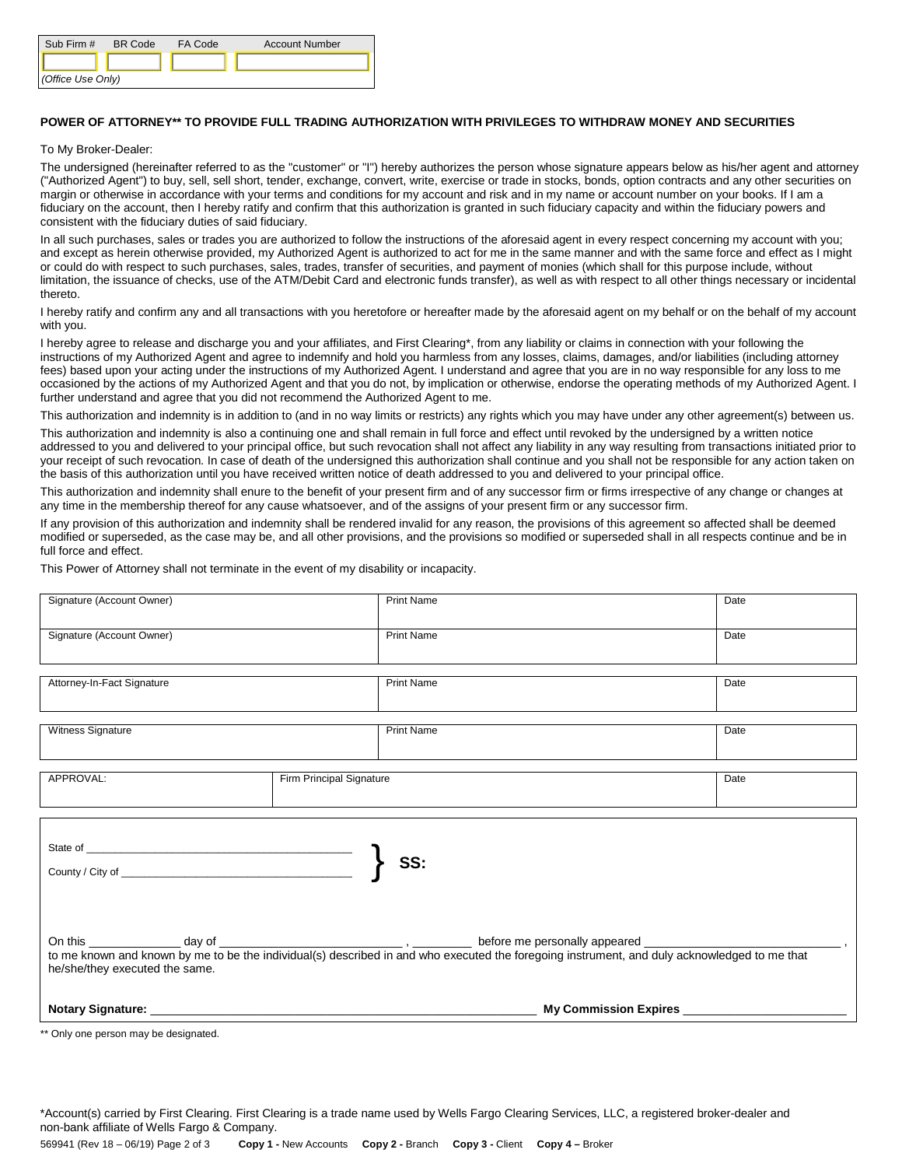| Sub Firm #        | <b>BR</b> Code | FA Code | <b>Account Number</b> |
|-------------------|----------------|---------|-----------------------|
|                   |                |         |                       |
| (Office Use Only) |                |         |                       |

## **POWER OF ATTORNEY\*\* TO PROVIDE FULL TRADING AUTHORIZATION WITH PRIVILEGES TO WITHDRAW MONEY AND SECURITIES**

## To My Broker-Dealer:

The undersigned (hereinafter referred to as the "customer" or "I") hereby authorizes the person whose signature appears below as his/her agent and attorney ("Authorized Agent") to buy, sell, sell short, tender, exchange, convert, write, exercise or trade in stocks, bonds, option contracts and any other securities on margin or otherwise in accordance with your terms and conditions for my account and risk and in my name or account number on your books. If I am a fiduciary on the account, then I hereby ratify and confirm that this authorization is granted in such fiduciary capacity and within the fiduciary powers and consistent with the fiduciary duties of said fiduciary.

In all such purchases, sales or trades you are authorized to follow the instructions of the aforesaid agent in every respect concerning my account with you; and except as herein otherwise provided, my Authorized Agent is authorized to act for me in the same manner and with the same force and effect as I might or could do with respect to such purchases, sales, trades, transfer of securities, and payment of monies (which shall for this purpose include, without limitation, the issuance of checks, use of the ATM/Debit Card and electronic funds transfer), as well as with respect to all other things necessary or incidental thereto.

I hereby ratify and confirm any and all transactions with you heretofore or hereafter made by the aforesaid agent on my behalf or on the behalf of my account with you.

I hereby agree to release and discharge you and your affiliates, and First Clearing\*, from any liability or claims in connection with your following the instructions of my Authorized Agent and agree to indemnify and hold you harmless from any losses, claims, damages, and/or liabilities (including attorney fees) based upon your acting under the instructions of my Authorized Agent. I understand and agree that you are in no way responsible for any loss to me occasioned by the actions of my Authorized Agent and that you do not, by implication or otherwise, endorse the operating methods of my Authorized Agent. I further understand and agree that you did not recommend the Authorized Agent to me.

This authorization and indemnity is in addition to (and in no way limits or restricts) any rights which you may have under any other agreement(s) between us.

This authorization and indemnity is also a continuing one and shall remain in full force and effect until revoked by the undersigned by a written notice addressed to you and delivered to your principal office, but such revocation shall not affect any liability in any way resulting from transactions initiated prior to your receipt of such revocation. In case of death of the undersigned this authorization shall continue and you shall not be responsible for any action taken on the basis of this authorization until you have received written notice of death addressed to you and delivered to your principal office.

This authorization and indemnity shall enure to the benefit of your present firm and of any successor firm or firms irrespective of any change or changes at any time in the membership thereof for any cause whatsoever, and of the assigns of your present firm or any successor firm.

If any provision of this authorization and indemnity shall be rendered invalid for any reason, the provisions of this agreement so affected shall be deemed modified or superseded, as the case may be, and all other provisions, and the provisions so modified or superseded shall in all respects continue and be in full force and effect.

This Power of Attorney shall not terminate in the event of my disability or incapacity.

| Signature (Account Owner)      | <b>Print Name</b>        | Date                  |
|--------------------------------|--------------------------|-----------------------|
| Signature (Account Owner)      | <b>Print Name</b>        | Date                  |
| Attorney-In-Fact Signature     | <b>Print Name</b>        | Date                  |
| Witness Signature              | <b>Print Name</b>        | Date                  |
| APPROVAL:                      | Firm Principal Signature | Date                  |
| he/she/they executed the same. | SS:                      |                       |
|                                |                          | My Commission Expires |

\*\* Only one person may be designated.

\*Account(s) carried by First Clearing. First Clearing is a trade name used by Wells Fargo Clearing Services, LLC, a registered broker-dealer and non-bank affiliate of Wells Fargo & Company.

569941 (Rev 18 – 06/19) Page 2 of 3 **Copy 1 -** New Accounts **Copy 2 -** Branch **Copy 3 -** Client **Copy 4 –** Broker